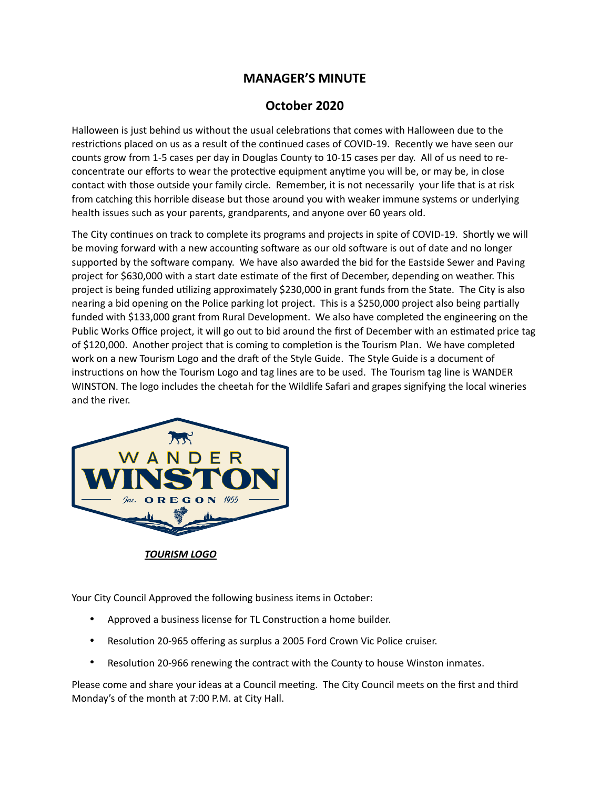## **MANAGER'S MINUTE**

## **October 2020**

Halloween is just behind us without the usual celebrations that comes with Halloween due to the restrictions placed on us as a result of the continued cases of COVID-19. Recently we have seen our counts grow from 1-5 cases per day in Douglas County to 10-15 cases per day. All of us need to reconcentrate our efforts to wear the protective equipment anytime you will be, or may be, in close contact with those outside your family circle. Remember, it is not necessarily your life that is at risk from catching this horrible disease but those around you with weaker immune systems or underlying health issues such as your parents, grandparents, and anyone over 60 years old.

The City continues on track to complete its programs and projects in spite of COVID-19. Shortly we will be moving forward with a new accounting software as our old software is out of date and no longer supported by the software company. We have also awarded the bid for the Eastside Sewer and Paving project for \$630,000 with a start date estimate of the first of December, depending on weather. This project is being funded utilizing approximately \$230,000 in grant funds from the State. The City is also nearing a bid opening on the Police parking lot project. This is a \$250,000 project also being partially funded with \$133,000 grant from Rural Development. We also have completed the engineering on the Public Works Office project, it will go out to bid around the first of December with an estimated price tag of \$120,000. Another project that is coming to completion is the Tourism Plan. We have completed work on a new Tourism Logo and the draft of the Style Guide. The Style Guide is a document of instructions on how the Tourism Logo and tag lines are to be used. The Tourism tag line is WANDER WINSTON. The logo includes the cheetah for the Wildlife Safari and grapes signifying the local wineries and the river.



*TOURISM LOGO* 

Your City Council Approved the following business items in October:

- Approved a business license for TL Construction a home builder.
- Resolution 20-965 offering as surplus a 2005 Ford Crown Vic Police cruiser.
- Resolution 20-966 renewing the contract with the County to house Winston inmates.

Please come and share your ideas at a Council meeting. The City Council meets on the first and third Monday's of the month at 7:00 P.M. at City Hall.